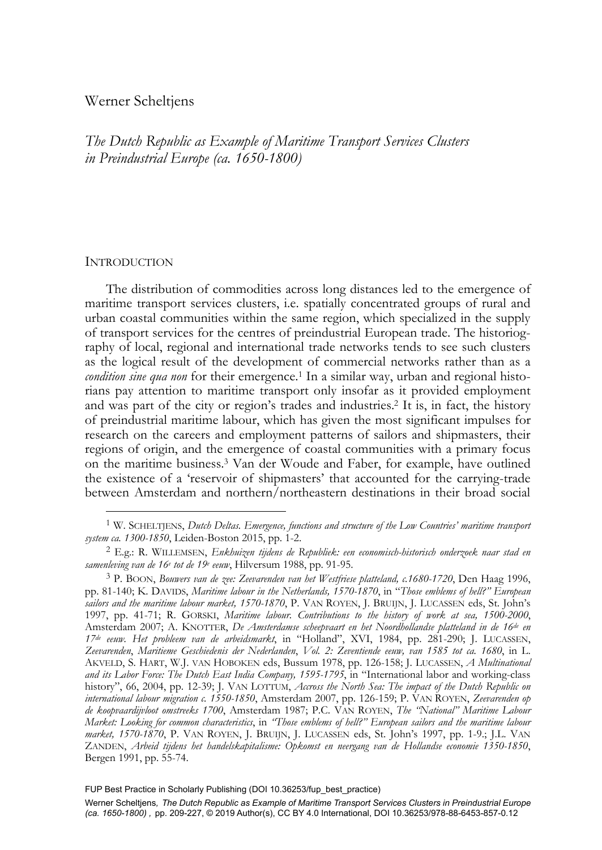# Werner Scheltjens

*The Dutch Republic as Example of Maritime Transport Services Clusters in Preindustrial Europe (ca. 1650-1800)* 

### **INTRODUCTION**

j

The distribution of commodities across long distances led to the emergence of maritime transport services clusters, i.e. spatially concentrated groups of rural and urban coastal communities within the same region, which specialized in the supply of transport services for the centres of preindustrial European trade. The historiography of local, regional and international trade networks tends to see such clusters as the logical result of the development of commercial networks rather than as a *condition sine qua non* for their emergence.<sup>1</sup> In a similar way, urban and regional historians pay attention to maritime transport only insofar as it provided employment and was part of the city or region's trades and industries.2 It is, in fact, the history of preindustrial maritime labour, which has given the most significant impulses for research on the careers and employment patterns of sailors and shipmasters, their regions of origin, and the emergence of coastal communities with a primary focus on the maritime business.3 Van der Woude and Faber, for example, have outlined the existence of a 'reservoir of shipmasters' that accounted for the carrying-trade between Amsterdam and northern/northeastern destinations in their broad social

FUP Best Practice in Scholarly Publishing (DOI [10.36253/fup\\_best\\_practice\)](https://doi.org/10.36253/fup_best_practice)

<sup>1</sup> W. SCHELTJENS, *Dutch Deltas. Emergence, functions and structure of the Low Countries' maritime transport* 

<sup>&</sup>lt;sup>2</sup> E.g.: R. WILLEMSEN, Enkhuizen tijdens de Republiek: een economisch-historisch onderzoek naar stad en samenleving van de 16<sup>e</sup> tot de 19<sup>e</sup> eeuw, Hilversum 1988, pp. 91-95.

<sup>3</sup> P. BOON, *Bouwers van de zee: Zeevarenden van het Westfriese platteland, c.1680-1720*, Den Haag 1996, pp. 81-140; K. DAVIDS, *Maritime labour in the Netherlands, 1570-1870*, in "*Those emblems of hell?" European sailors and the maritime labour market, 1570-1870*, P. VAN ROYEN, J. BRUIJN, J. LUCASSEN eds, St. John's 1997, pp. 41-71; R. GORSKI, *Maritime labour. Contributions to the history of work at sea, 1500-2000*, Amsterdam 2007; A. KNOTTER, *De Amsterdamse scheepvaart en het Noordhollandse platteland in de 16de en 17de eeuw. Het probleem van de arbeidsmarkt*, in "Holland", XVI, 1984, pp. 281-290; J. LUCASSEN, *Zeevarenden*, *Maritieme Geschiedenis der Nederlanden*, *Vol. 2: Zeventiende eeuw, van 1585 tot ca. 1680*, in L. AKVELD, S. HART, W.J. VAN HOBOKEN eds, Bussum 1978, pp. 126-158; J. LUCASSEN, *A Multinational and its Labor Force: The Dutch East India Company, 1595-1795*, in "International labor and working-class history", 66, 2004, pp. 12-39; J. VAN LOTTUM, *Accross the North Sea: The impact of the Dutch Republic on international labour migration c. 1550-1850*, Amsterdam 2007, pp. 126-159; P. VAN ROYEN, *Zeevarenden op de koopvaardijvloot omstreeks 1700*, Amsterdam 1987; P.C. VAN ROYEN, *The "National" Maritime Labour Market: Looking for common characteristics*, in *"Those emblems of hell?" European sailors and the maritime labour market, 1570-1870*, P. VAN ROYEN, J. BRUIJN, J. LUCASSEN eds, St. John's 1997, pp. 1-9.; J.L. VAN ZANDEN, *Arbeid tijdens het handelskapitalisme: Opkomst en neergang van de Hollandse economie 1350-1850*, Bergen 1991, pp. 55-74.

Werner Scheltjens*, The Dutch Republic as Example of Maritime Transport Services Clusters in Preindustrial Europe (ca. 1650-1800) ,* pp. 209-227, © 2019 Author(s), [CC BY 4.0 International,](http://creativecommons.org/licenses/by/4.0/legalcode) DOI [10.36253/978-88-6453-857-0.12](https://doi.org/10.36253/978-88-6453-857-0.12)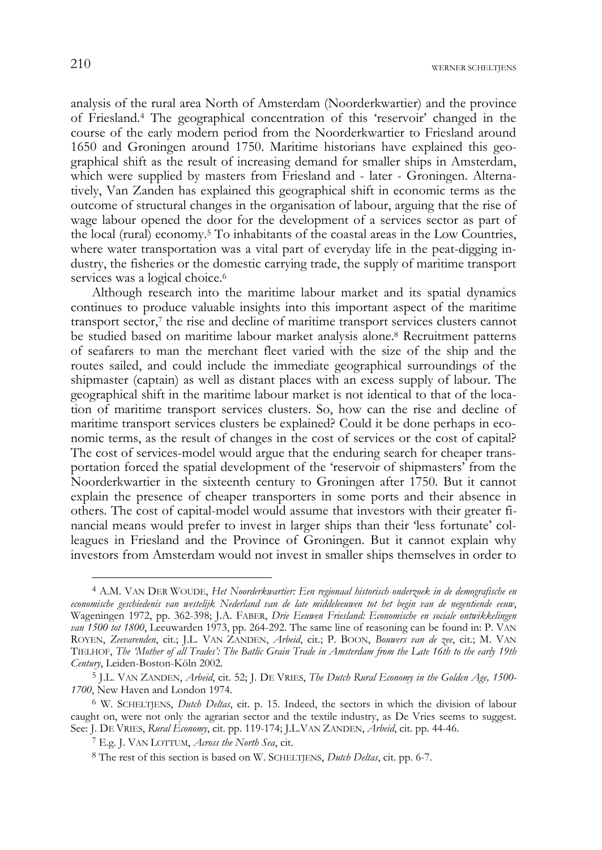analysis of the rural area North of Amsterdam (Noorderkwartier) and the province of Friesland.4 The geographical concentration of this 'reservoir' changed in the course of the early modern period from the Noorderkwartier to Friesland around 1650 and Groningen around 1750. Maritime historians have explained this geographical shift as the result of increasing demand for smaller ships in Amsterdam, which were supplied by masters from Friesland and - later - Groningen. Alternatively, Van Zanden has explained this geographical shift in economic terms as the outcome of structural changes in the organisation of labour, arguing that the rise of wage labour opened the door for the development of a services sector as part of the local (rural) economy.5 To inhabitants of the coastal areas in the Low Countries, where water transportation was a vital part of everyday life in the peat-digging industry, the fisheries or the domestic carrying trade, the supply of maritime transport services was a logical choice.<sup>6</sup>

Although research into the maritime labour market and its spatial dynamics continues to produce valuable insights into this important aspect of the maritime transport sector,<sup>7</sup> the rise and decline of maritime transport services clusters cannot be studied based on maritime labour market analysis alone.8 Recruitment patterns of seafarers to man the merchant fleet varied with the size of the ship and the routes sailed, and could include the immediate geographical surroundings of the shipmaster (captain) as well as distant places with an excess supply of labour. The geographical shift in the maritime labour market is not identical to that of the location of maritime transport services clusters. So, how can the rise and decline of maritime transport services clusters be explained? Could it be done perhaps in economic terms, as the result of changes in the cost of services or the cost of capital? The cost of services-model would argue that the enduring search for cheaper transportation forced the spatial development of the 'reservoir of shipmasters' from the Noorderkwartier in the sixteenth century to Groningen after 1750. But it cannot explain the presence of cheaper transporters in some ports and their absence in others. The cost of capital-model would assume that investors with their greater financial means would prefer to invest in larger ships than their 'less fortunate' colleagues in Friesland and the Province of Groningen. But it cannot explain why investors from Amsterdam would not invest in smaller ships themselves in order to

<sup>4</sup> A.M. VAN DER WOUDE, *Het Noorderkwartier: Een regionaal historisch onderzoek in de demografische en economische geschiedenis van westelijk Nederland van de late middeleeuwen tot het begin van de negentiende eeuw*, Wageningen 1972, pp. 362-398; J.A. FABER, *Drie Eeuwen Friesland: Economische en sociale ontwikkelingen van 1500 tot 1800*, Leeuwarden 1973, pp. 264-292. The same line of reasoning can be found in: P. VAN ROYEN, *Zeevarenden*, cit.; J.L. VAN ZANDEN, *Arbeid*, cit.; P. BOON, *Bouwers van de zee*, cit.; M. VAN TIELHOF, *The 'Mother of all Trades': The Batlic Grain Trade in Amsterdam from the Late 16th to the early 19th Century*, Leiden-Boston-Köln 2002.

<sup>5</sup> J.L. VAN ZANDEN, *Arbeid*, cit. 52; J. DE VRIES, *The Dutch Rural Economy in the Golden Age, 1500- 1700*, New Haven and London 1974.

<sup>6</sup> W. SCHELTJENS, *Dutch Deltas*, cit. p. 15. Indeed, the sectors in which the division of labour caught on, were not only the agrarian sector and the textile industry, as De Vries seems to suggest. See: J. DE VRIES, *Rural Economy*, cit. pp. 119-174; J.L.VAN ZANDEN, *Arbeid*, cit. pp. 44-46. 7 E.g. J. VAN LOTTUM, *Across the North Sea*, cit.

<sup>8</sup> The rest of this section is based on W. SCHELTJENS, *Dutch Deltas*, cit. pp. 6-7.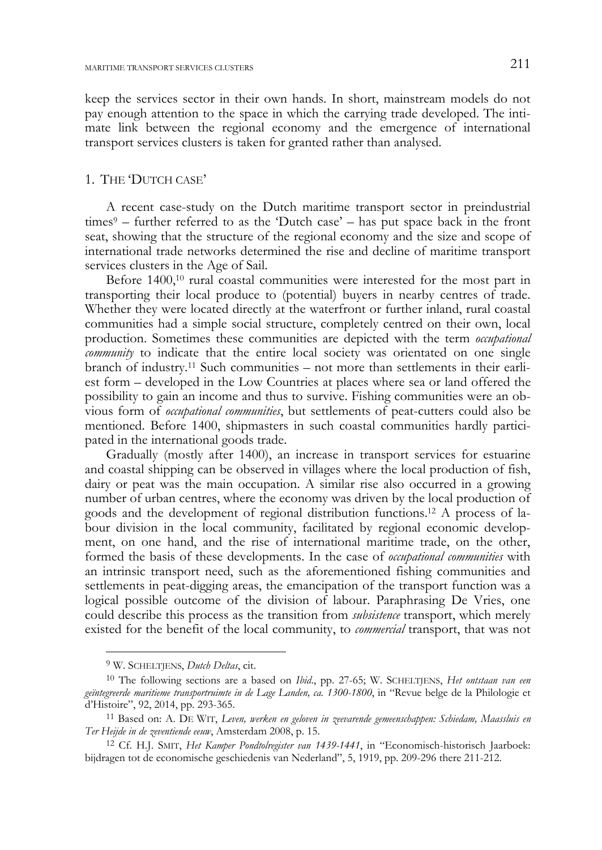keep the services sector in their own hands. In short, mainstream models do not pay enough attention to the space in which the carrying trade developed. The intimate link between the regional economy and the emergence of international transport services clusters is taken for granted rather than analysed.

# 1. THE 'DUTCH CASE'

A recent case-study on the Dutch maritime transport sector in preindustrial times<sup>9</sup> – further referred to as the 'Dutch case' – has put space back in the front seat, showing that the structure of the regional economy and the size and scope of international trade networks determined the rise and decline of maritime transport services clusters in the Age of Sail.

Before 1400,10 rural coastal communities were interested for the most part in transporting their local produce to (potential) buyers in nearby centres of trade. Whether they were located directly at the waterfront or further inland, rural coastal communities had a simple social structure, completely centred on their own, local production. Sometimes these communities are depicted with the term *occupational community* to indicate that the entire local society was orientated on one single branch of industry.11 Such communities – not more than settlements in their earliest form – developed in the Low Countries at places where sea or land offered the possibility to gain an income and thus to survive. Fishing communities were an obvious form of *occupational communities*, but settlements of peat-cutters could also be mentioned. Before 1400, shipmasters in such coastal communities hardly participated in the international goods trade.

Gradually (mostly after 1400), an increase in transport services for estuarine and coastal shipping can be observed in villages where the local production of fish, dairy or peat was the main occupation. A similar rise also occurred in a growing number of urban centres, where the economy was driven by the local production of goods and the development of regional distribution functions.12 A process of labour division in the local community, facilitated by regional economic development, on one hand, and the rise of international maritime trade, on the other, formed the basis of these developments. In the case of *occupational communities* with an intrinsic transport need, such as the aforementioned fishing communities and settlements in peat-digging areas, the emancipation of the transport function was a logical possible outcome of the division of labour. Paraphrasing De Vries, one could describe this process as the transition from *subsistence* transport, which merely existed for the benefit of the local community, to *commercial* transport, that was not

j

<sup>9</sup> W. SCHELTJENS, *Dutch Deltas*, cit.

<sup>10</sup> The following sections are a based on *Ibid*., pp. 27-65; W. SCHELTJENS, *Het ontstaan van een geïntegreerde maritieme transportruimte in de Lage Landen, ca. 1300-1800*, in "Revue belge de la Philologie et d'Histoire", 92, 2014, pp. 293-365. 11 Based on: A. DE WIT, *Leven, werken en geloven in zeevarende gemeenschappen: Schiedam, Maassluis en* 

*Ter Heijde in de zeventiende eeuw*, Amsterdam 2008, p. 15. 12 Cf. H.J. SMIT, *Het Kamper Pondtolregister van 1439-1441*, in "Economisch-historisch Jaarboek:

bijdragen tot de economische geschiedenis van Nederland", 5, 1919, pp. 209-296 there 211-212.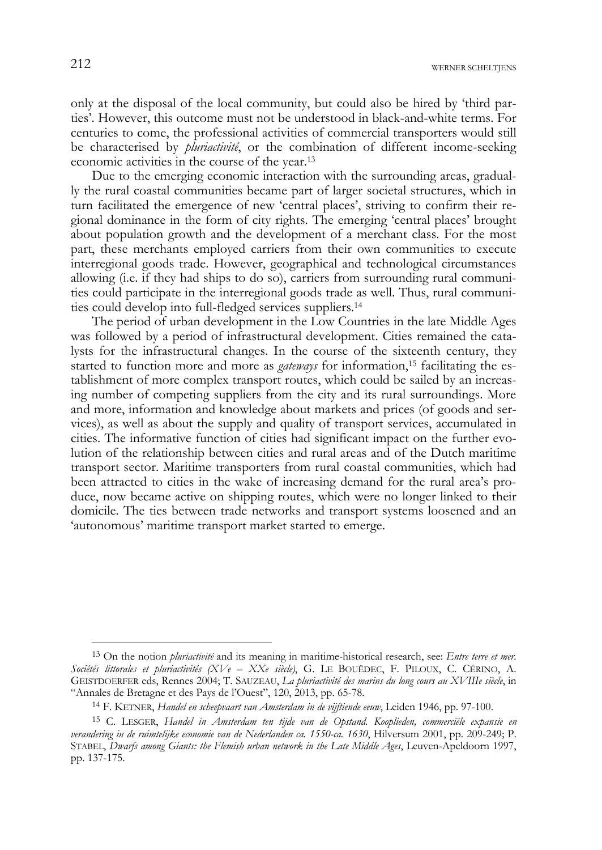$212$  werner scheltjens

only at the disposal of the local community, but could also be hired by 'third parties'. However, this outcome must not be understood in black-and-white terms. For centuries to come, the professional activities of commercial transporters would still be characterised by *pluriactivité*, or the combination of different income-seeking economic activities in the course of the year.13

Due to the emerging economic interaction with the surrounding areas, gradually the rural coastal communities became part of larger societal structures, which in turn facilitated the emergence of new 'central places', striving to confirm their regional dominance in the form of city rights. The emerging 'central places' brought about population growth and the development of a merchant class. For the most part, these merchants employed carriers from their own communities to execute interregional goods trade. However, geographical and technological circumstances allowing (i.e. if they had ships to do so), carriers from surrounding rural communities could participate in the interregional goods trade as well. Thus, rural communities could develop into full-fledged services suppliers.14

The period of urban development in the Low Countries in the late Middle Ages was followed by a period of infrastructural development. Cities remained the catalysts for the infrastructural changes. In the course of the sixteenth century, they started to function more and more as *gateways* for information,<sup>15</sup> facilitating the establishment of more complex transport routes, which could be sailed by an increasing number of competing suppliers from the city and its rural surroundings. More and more, information and knowledge about markets and prices (of goods and services), as well as about the supply and quality of transport services, accumulated in cities. The informative function of cities had significant impact on the further evolution of the relationship between cities and rural areas and of the Dutch maritime transport sector. Maritime transporters from rural coastal communities, which had been attracted to cities in the wake of increasing demand for the rural area's produce, now became active on shipping routes, which were no longer linked to their domicile. The ties between trade networks and transport systems loosened and an 'autonomous' maritime transport market started to emerge.

<sup>13</sup> On the notion *pluriactivité* and its meaning in maritime-historical research, see: *Entre terre et mer. Sociétés littorales et pluriactivités (XVe – XXe siècle)*, G. LE BOUËDEC, F. PILOUX, C. CÉRINO, A. GEISTDOERFER eds, Rennes 2004; T. SAUZEAU, *La pluriactivité des marins du long cours au XVIIIe siècle*, in "Annales de Bretagne et des Pays de l'Ouest", 120, 2013, pp. 65-78.

<sup>14</sup> F. KETNER, *Handel en scheepvaart van Amsterdam in de vijftiende eeuw*, Leiden 1946, pp. 97-100.

<sup>15</sup> C. LESGER, *Handel in Amsterdam ten tijde van de Opstand. Kooplieden, commerciële expansie en verandering in de ruimtelijke economie van de Nederlanden ca. 1550-ca. 1630*, Hilversum 2001, pp. 209-249; P. STABEL, *Dwarfs among Giants: the Flemish urban network in the Late Middle Ages*, Leuven-Apeldoorn 1997, pp. 137-175.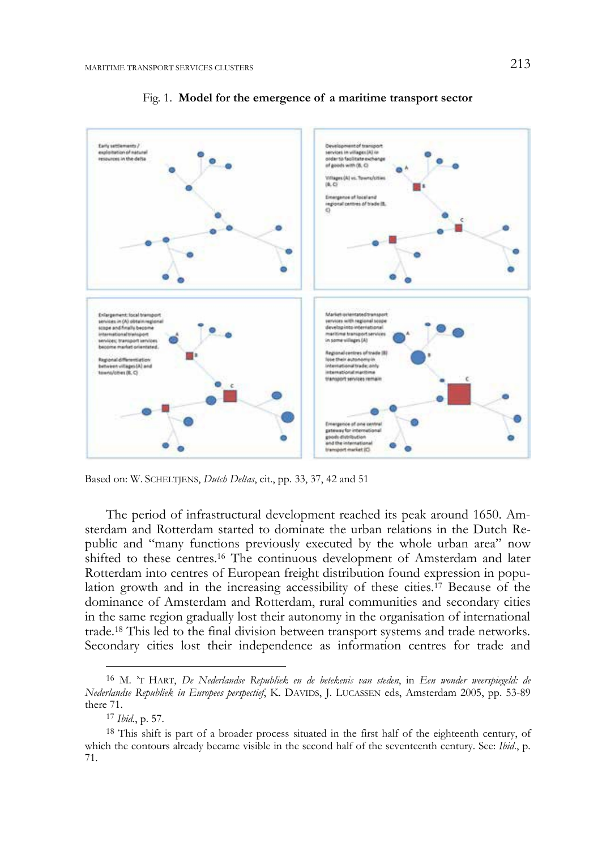

Fig. 1. **Model for the emergence of a maritime transport sector** 

Based on: W. SCHELTJENS, *Dutch Deltas*, cit., pp. 33, 37, 42 and 51

The period of infrastructural development reached its peak around 1650. Amsterdam and Rotterdam started to dominate the urban relations in the Dutch Republic and "many functions previously executed by the whole urban area" now shifted to these centres.16 The continuous development of Amsterdam and later Rotterdam into centres of European freight distribution found expression in population growth and in the increasing accessibility of these cities.17 Because of the dominance of Amsterdam and Rotterdam, rural communities and secondary cities in the same region gradually lost their autonomy in the organisation of international trade.18 This led to the final division between transport systems and trade networks. Secondary cities lost their independence as information centres for trade and

<sup>16</sup> M. 'T HART, *De Nederlandse Republiek en de betekenis van steden*, in *Een wonder weerspiegeld: de Nederlandse Republiek in Europees perspectief*, K. DAVIDS, J. LUCASSEN eds, Amsterdam 2005, pp. 53-89 there 71.

<sup>17</sup> *Ibid.*, p. 57.

<sup>&</sup>lt;sup>18</sup> This shift is part of a broader process situated in the first half of the eighteenth century, of which the contours already became visible in the second half of the seventeenth century. See: *Ibid*., p. 71.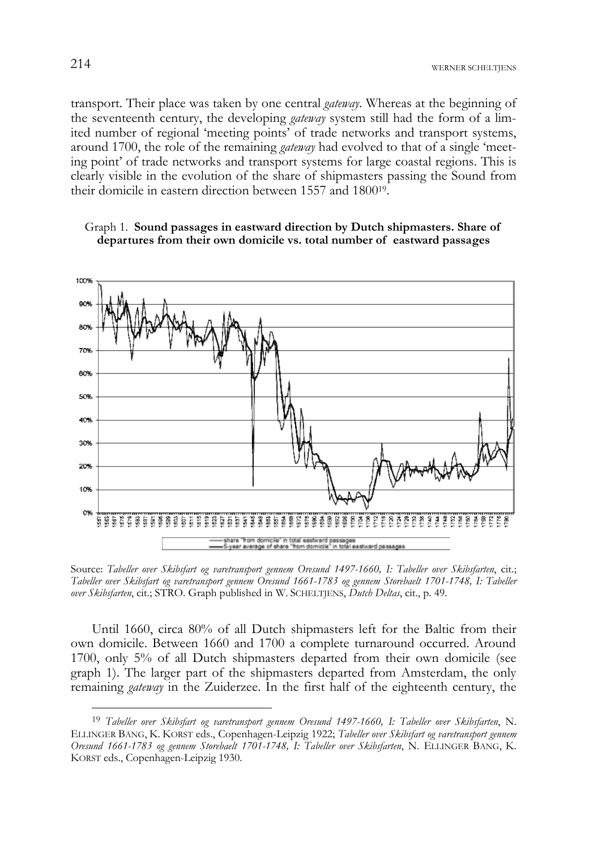transport. Their place was taken by one central *gateway*. Whereas at the beginning of the seventeenth century, the developing *gateway* system still had the form of a limited number of regional 'meeting points' of trade networks and transport systems, around 1700, the role of the remaining *gateway* had evolved to that of a single 'meeting point' of trade networks and transport systems for large coastal regions. This is clearly visible in the evolution of the share of shipmasters passing the Sound from their domicile in eastern direction between 1557 and 180019.





Source: *Tabeller over Skibsfart og varetransport gennem Oresund 1497-1660, I: Tabeller over Skibsfarten*, cit.; *Tabeller over Skibsfart og varetransport gennem Oresund 1661-1783 og gennem Storebaelt 1701-1748, I: Tabeller over Skibsfarten*, cit.; STRO. Graph published in W. SCHELTJENS, *Dutch Deltas*, cit., p. 49.

Until 1660, circa 80% of all Dutch shipmasters left for the Baltic from their own domicile. Between 1660 and 1700 a complete turnaround occurred. Around 1700, only 5% of all Dutch shipmasters departed from their own domicile (see graph 1). The larger part of the shipmasters departed from Amsterdam, the only remaining *gateway* in the Zuiderzee. In the first half of the eighteenth century, the

<sup>19</sup> *Tabeller over Skibsfart og varetransport gennem Oresund 1497-1660, I: Tabeller over Skibsfarten*, N. ELLINGER BANG, K. KORST eds., Copenhagen-Leipzig 1922; *Tabeller over Skibsfart og varetransport gennem Oresund 1661-1783 og gennem Storebaelt 1701-1748, I: Tabeller over Skibsfarten*, N. ELLINGER BANG, K. KORST eds., Copenhagen-Leipzig 1930.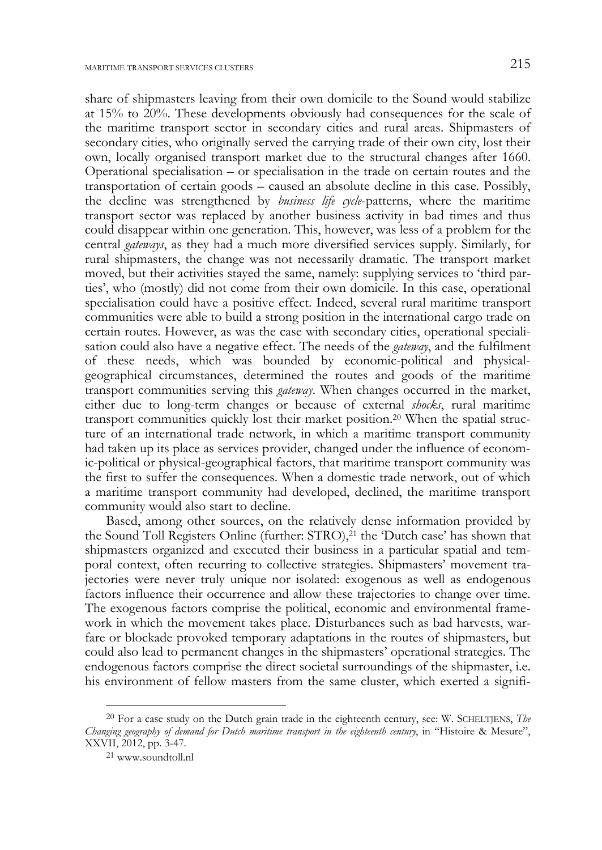share of shipmasters leaving from their own domicile to the Sound would stabilize at 15% to 20%. These developments obviously had consequences for the scale of the maritime transport sector in secondary cities and rural areas. Shipmasters of secondary cities, who originally served the carrying trade of their own city, lost their own, locally organised transport market due to the structural changes after 1660. Operational specialisation – or specialisation in the trade on certain routes and the transportation of certain goods – caused an absolute decline in this case. Possibly, the decline was strengthened by *business life cycle*-patterns, where the maritime transport sector was replaced by another business activity in bad times and thus could disappear within one generation. This, however, was less of a problem for the central *gateways*, as they had a much more diversified services supply. Similarly, for rural shipmasters, the change was not necessarily dramatic. The transport market moved, but their activities stayed the same, namely: supplying services to 'third parties', who (mostly) did not come from their own domicile. In this case, operational specialisation could have a positive effect. Indeed, several rural maritime transport communities were able to build a strong position in the international cargo trade on certain routes. However, as was the case with secondary cities, operational specialisation could also have a negative effect. The needs of the *gateway*, and the fulfilment of these needs, which was bounded by economic-political and physicalgeographical circumstances, determined the routes and goods of the maritime transport communities serving this *gateway*. When changes occurred in the market, either due to long-term changes or because of external *shocks*, rural maritime transport communities quickly lost their market position.20 When the spatial structure of an international trade network, in which a maritime transport community had taken up its place as services provider, changed under the influence of economic-political or physical-geographical factors, that maritime transport community was the first to suffer the consequences. When a domestic trade network, out of which a maritime transport community had developed, declined, the maritime transport community would also start to decline.

Based, among other sources, on the relatively dense information provided by the Sound Toll Registers Online (further: STRO),21 the 'Dutch case' has shown that shipmasters organized and executed their business in a particular spatial and temporal context, often recurring to collective strategies. Shipmasters' movement trajectories were never truly unique nor isolated: exogenous as well as endogenous factors influence their occurrence and allow these trajectories to change over time. The exogenous factors comprise the political, economic and environmental framework in which the movement takes place. Disturbances such as bad harvests, warfare or blockade provoked temporary adaptations in the routes of shipmasters, but could also lead to permanent changes in the shipmasters' operational strategies. The endogenous factors comprise the direct societal surroundings of the shipmaster, i.e. his environment of fellow masters from the same cluster, which exerted a signifi-

<sup>20</sup> For a case study on the Dutch grain trade in the eighteenth century, see: W. SCHELTJENS, *The Changing geography of demand for Dutch maritime transport in the eighteenth century*, in "Histoire & Mesure", XXVII, 2012, pp. 3-47. 21 www.soundtoll.nl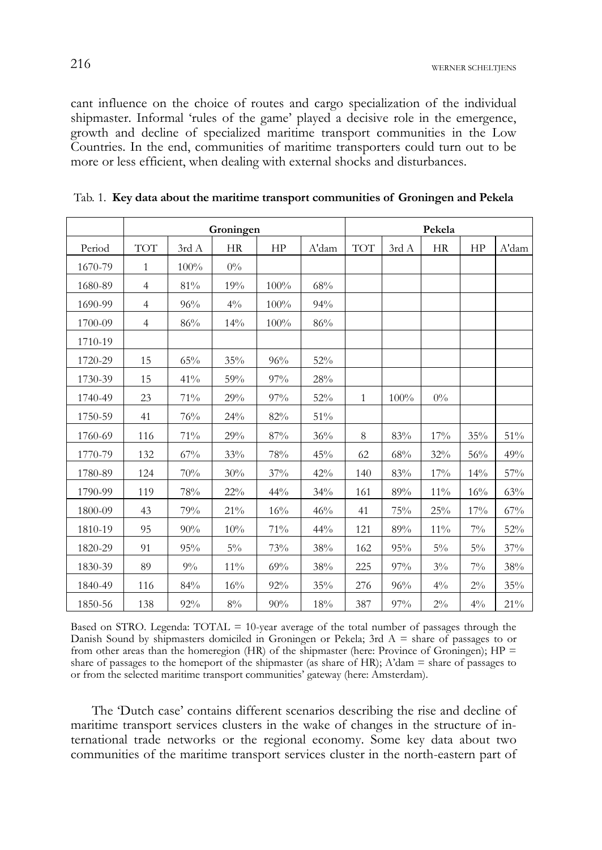cant influence on the choice of routes and cargo specialization of the individual shipmaster. Informal 'rules of the game' played a decisive role in the emergence, growth and decline of specialized maritime transport communities in the Low Countries. In the end, communities of maritime transporters could turn out to be more or less efficient, when dealing with external shocks and disturbances.

|         | Groningen      |       |           |        |       | Pekela       |       |           |       |        |
|---------|----------------|-------|-----------|--------|-------|--------------|-------|-----------|-------|--------|
| Period  | <b>TOT</b>     | 3rd A | <b>HR</b> | HP     | A'dam | <b>TOT</b>   | 3rd A | <b>HR</b> | HP    | A'dam  |
| 1670-79 | $\mathbf{1}$   | 100%  | $0\%$     |        |       |              |       |           |       |        |
| 1680-89 | $\overline{4}$ | 81%   | 19%       | 100%   | 68%   |              |       |           |       |        |
| 1690-99 | $\overline{4}$ | 96%   | $4\%$     | 100%   | 94%   |              |       |           |       |        |
| 1700-09 | $\overline{4}$ | 86%   | 14%       | 100%   | 86%   |              |       |           |       |        |
| 1710-19 |                |       |           |        |       |              |       |           |       |        |
| 1720-29 | 15             | 65%   | 35%       | 96%    | 52%   |              |       |           |       |        |
| 1730-39 | 15             | 41%   | 59%       | 97%    | 28%   |              |       |           |       |        |
| 1740-49 | 23             | 71%   | 29%       | 97%    | 52%   | $\mathbf{1}$ | 100%  | $0\%$     |       |        |
| 1750-59 | 41             | 76%   | 24%       | 82%    | 51%   |              |       |           |       |        |
| 1760-69 | 116            | 71%   | 29%       | $87\%$ | 36%   | 8            | 83%   | 17%       | 35%   | 51%    |
| 1770-79 | 132            | 67%   | 33%       | 78%    | 45%   | 62           | 68%   | 32%       | 56%   | 49%    |
| 1780-89 | 124            | 70%   | 30%       | 37%    | 42%   | 140          | 83%   | 17%       | 14%   | 57%    |
| 1790-99 | 119            | 78%   | 22%       | 44%    | 34%   | 161          | 89%   | $11\%$    | 16%   | 63%    |
| 1800-09 | 43             | 79%   | 21%       | 16%    | 46%   | 41           | 75%   | 25%       | 17%   | 67%    |
| 1810-19 | 95             | 90%   | 10%       | 71%    | 44%   | 121          | 89%   | $11\%$    | $7\%$ | 52%    |
| 1820-29 | 91             | 95%   | $5\%$     | 73%    | 38%   | 162          | 95%   | $5\%$     | $5\%$ | 37%    |
| 1830-39 | 89             | 9%    | $11\%$    | 69%    | 38%   | 225          | 97%   | $3\%$     | $7\%$ | 38%    |
| 1840-49 | 116            | 84%   | 16%       | 92%    | 35%   | 276          | 96%   | $4\%$     | $2\%$ | 35%    |
| 1850-56 | 138            | 92%   | $8\%$     | 90%    | 18%   | 387          | 97%   | $2\%$     | $4\%$ | $21\%$ |

Tab. 1. **Key data about the maritime transport communities of Groningen and Pekela** 

Based on STRO. Legenda: TOTAL = 10-year average of the total number of passages through the Danish Sound by shipmasters domiciled in Groningen or Pekela; 3rd A = share of passages to or from other areas than the homeregion (HR) of the shipmaster (here: Province of Groningen);  $HP =$ share of passages to the homeport of the shipmaster (as share of HR);  $\Lambda$ 'dam = share of passages to or from the selected maritime transport communities' gateway (here: Amsterdam).

The 'Dutch case' contains different scenarios describing the rise and decline of maritime transport services clusters in the wake of changes in the structure of international trade networks or the regional economy. Some key data about two communities of the maritime transport services cluster in the north-eastern part of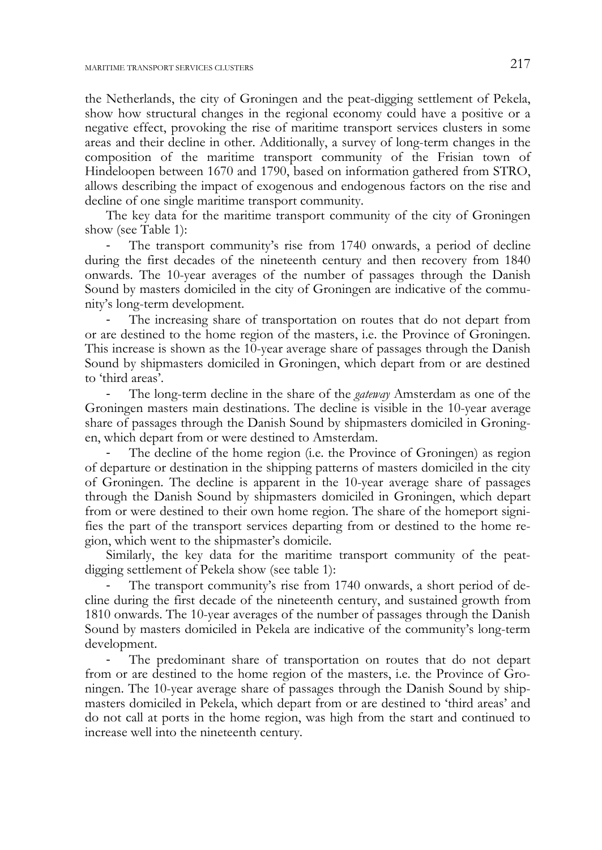the Netherlands, the city of Groningen and the peat-digging settlement of Pekela, show how structural changes in the regional economy could have a positive or a negative effect, provoking the rise of maritime transport services clusters in some areas and their decline in other. Additionally, a survey of long-term changes in the composition of the maritime transport community of the Frisian town of Hindeloopen between 1670 and 1790, based on information gathered from STRO, allows describing the impact of exogenous and endogenous factors on the rise and decline of one single maritime transport community.

The key data for the maritime transport community of the city of Groningen show (see Table 1):

The transport community's rise from 1740 onwards, a period of decline during the first decades of the nineteenth century and then recovery from 1840 onwards. The 10-year averages of the number of passages through the Danish Sound by masters domiciled in the city of Groningen are indicative of the community's long-term development.

The increasing share of transportation on routes that do not depart from or are destined to the home region of the masters, i.e. the Province of Groningen. This increase is shown as the 10-year average share of passages through the Danish Sound by shipmasters domiciled in Groningen, which depart from or are destined to 'third areas'.

‐ The long-term decline in the share of the *gateway* Amsterdam as one of the Groningen masters main destinations. The decline is visible in the 10-year average share of passages through the Danish Sound by shipmasters domiciled in Groningen, which depart from or were destined to Amsterdam.

The decline of the home region (i.e. the Province of Groningen) as region of departure or destination in the shipping patterns of masters domiciled in the city of Groningen. The decline is apparent in the 10-year average share of passages through the Danish Sound by shipmasters domiciled in Groningen, which depart from or were destined to their own home region. The share of the homeport signifies the part of the transport services departing from or destined to the home region, which went to the shipmaster's domicile.

Similarly, the key data for the maritime transport community of the peatdigging settlement of Pekela show (see table 1):

The transport community's rise from 1740 onwards, a short period of decline during the first decade of the nineteenth century, and sustained growth from 1810 onwards. The 10-year averages of the number of passages through the Danish Sound by masters domiciled in Pekela are indicative of the community's long-term development.

‐ The predominant share of transportation on routes that do not depart from or are destined to the home region of the masters, i.e. the Province of Groningen. The 10-year average share of passages through the Danish Sound by shipmasters domiciled in Pekela, which depart from or are destined to 'third areas' and do not call at ports in the home region, was high from the start and continued to increase well into the nineteenth century.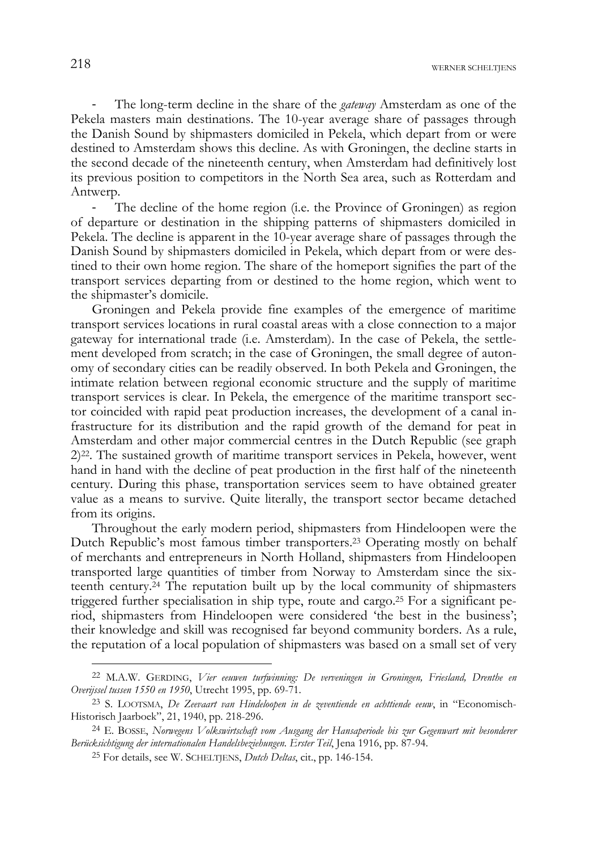‐ The long-term decline in the share of the *gateway* Amsterdam as one of the Pekela masters main destinations. The 10-year average share of passages through the Danish Sound by shipmasters domiciled in Pekela, which depart from or were destined to Amsterdam shows this decline. As with Groningen, the decline starts in the second decade of the nineteenth century, when Amsterdam had definitively lost its previous position to competitors in the North Sea area, such as Rotterdam and Antwerp.

The decline of the home region (i.e. the Province of Groningen) as region of departure or destination in the shipping patterns of shipmasters domiciled in Pekela. The decline is apparent in the 10-year average share of passages through the Danish Sound by shipmasters domiciled in Pekela, which depart from or were destined to their own home region. The share of the homeport signifies the part of the transport services departing from or destined to the home region, which went to the shipmaster's domicile.

Groningen and Pekela provide fine examples of the emergence of maritime transport services locations in rural coastal areas with a close connection to a major gateway for international trade (i.e. Amsterdam). In the case of Pekela, the settlement developed from scratch; in the case of Groningen, the small degree of autonomy of secondary cities can be readily observed. In both Pekela and Groningen, the intimate relation between regional economic structure and the supply of maritime transport services is clear. In Pekela, the emergence of the maritime transport sector coincided with rapid peat production increases, the development of a canal infrastructure for its distribution and the rapid growth of the demand for peat in Amsterdam and other major commercial centres in the Dutch Republic (see graph  $2)^{22}$ . The sustained growth of maritime transport services in Pekela, however, went hand in hand with the decline of peat production in the first half of the nineteenth century. During this phase, transportation services seem to have obtained greater value as a means to survive. Quite literally, the transport sector became detached from its origins.

Throughout the early modern period, shipmasters from Hindeloopen were the Dutch Republic's most famous timber transporters.23 Operating mostly on behalf of merchants and entrepreneurs in North Holland, shipmasters from Hindeloopen transported large quantities of timber from Norway to Amsterdam since the sixteenth century.24 The reputation built up by the local community of shipmasters triggered further specialisation in ship type, route and cargo.25 For a significant period, shipmasters from Hindeloopen were considered 'the best in the business'; their knowledge and skill was recognised far beyond community borders. As a rule, the reputation of a local population of shipmasters was based on a small set of very

<sup>22</sup> M.A.W. GERDING, *Vier eeuwen turfwinning: De verveningen in Groningen, Friesland, Drenthe en Overijssel tussen 1550 en 1950*, Utrecht 1995, pp. 69-71.

<sup>23</sup> S. LOOTSMA, *De Zeevaart van Hindeloopen in de zeventiende en achttiende eeuw*, in "Economisch-Historisch Jaarboek", 21, 1940, pp. 218-296.

<sup>24</sup> E. BOSSE, *Norwegens Volkswirtschaft vom Ausgang der Hansaperiode bis zur Gegenwart mit besonderer Berücksichtigung der internationalen Handelsbeziehungen. Erster Teil*, Jena 1916, pp. 87-94.

<sup>25</sup> For details, see W. SCHELTJENS, *Dutch Deltas*, cit., pp. 146-154.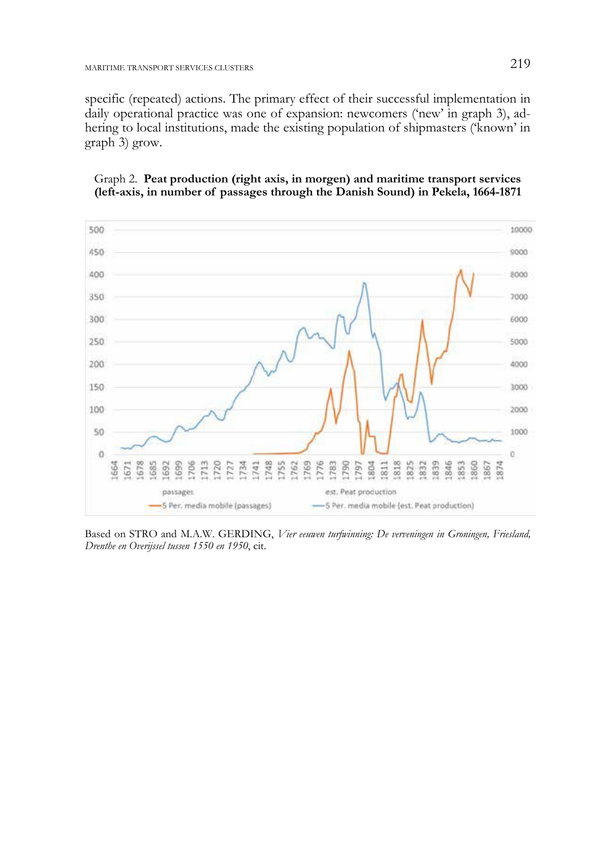specific (repeated) actions. The primary effect of their successful implementation in daily operational practice was one of expansion: newcomers ('new' in graph 3), adhering to local institutions, made the existing population of shipmasters ('known' in graph 3) grow.





Based on STRO and M.A.W. GERDING, *Vier eeuwen turfwinning: De verveningen in Groningen, Friesland, Drenthe en Overijssel tussen 1550 en 1950*, cit.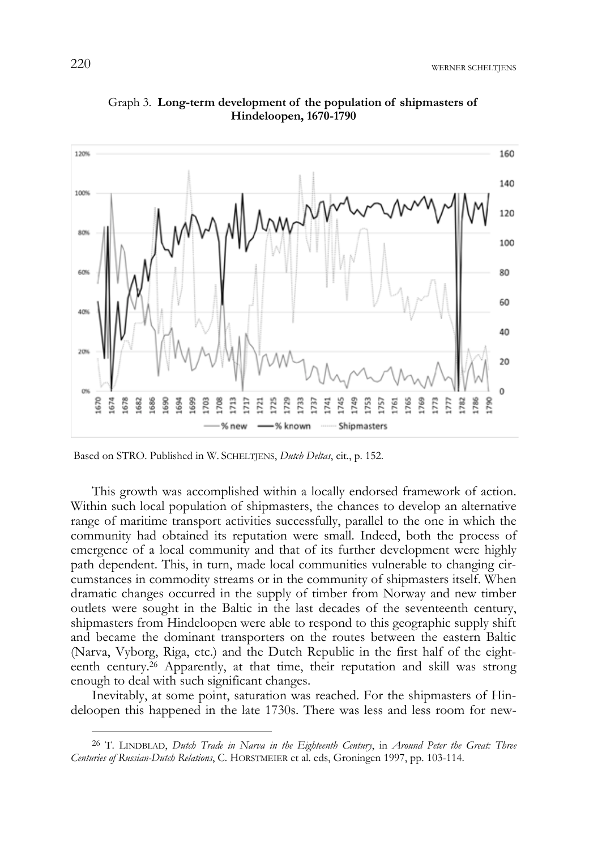

Graph 3. **Long-term development of the population of shipmasters of Hindeloopen, 1670-1790** 

Based on STRO. Published in W. SCHELTJENS, *Dutch Deltas*, cit., p. 152.

This growth was accomplished within a locally endorsed framework of action. Within such local population of shipmasters, the chances to develop an alternative range of maritime transport activities successfully, parallel to the one in which the community had obtained its reputation were small. Indeed, both the process of emergence of a local community and that of its further development were highly path dependent. This, in turn, made local communities vulnerable to changing circumstances in commodity streams or in the community of shipmasters itself. When dramatic changes occurred in the supply of timber from Norway and new timber outlets were sought in the Baltic in the last decades of the seventeenth century, shipmasters from Hindeloopen were able to respond to this geographic supply shift and became the dominant transporters on the routes between the eastern Baltic (Narva, Vyborg, Riga, etc.) and the Dutch Republic in the first half of the eighteenth century.26 Apparently, at that time, their reputation and skill was strong enough to deal with such significant changes.

Inevitably, at some point, saturation was reached. For the shipmasters of Hindeloopen this happened in the late 1730s. There was less and less room for new-

<sup>26</sup> T. LINDBLAD, *Dutch Trade in Narva in the Eighteenth Century*, in *Around Peter the Great: Three Centuries of Russian-Dutch Relations*, C. HORSTMEIER et al. eds, Groningen 1997, pp. 103-114.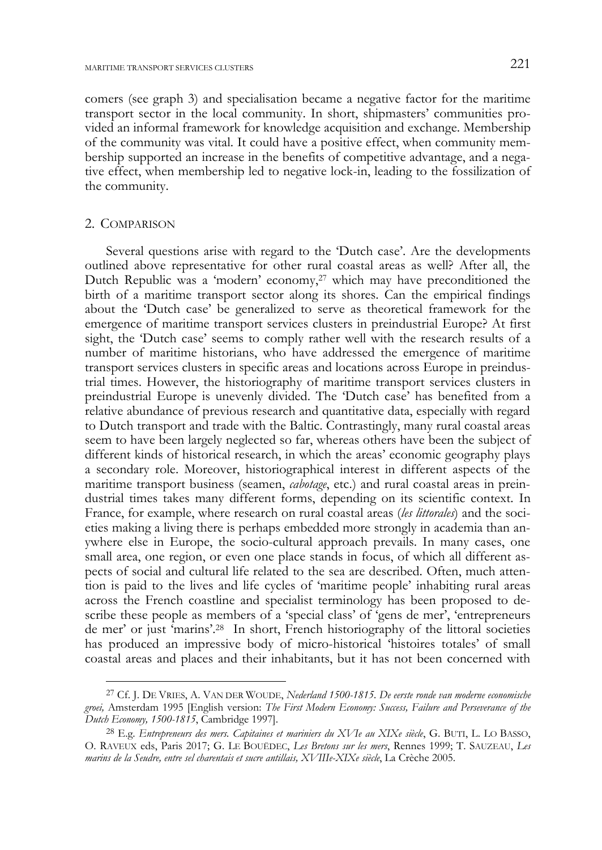comers (see graph 3) and specialisation became a negative factor for the maritime transport sector in the local community. In short, shipmasters' communities provided an informal framework for knowledge acquisition and exchange. Membership of the community was vital. It could have a positive effect, when community membership supported an increase in the benefits of competitive advantage, and a negative effect, when membership led to negative lock-in, leading to the fossilization of the community.

## 2. COMPARISON

-

Several questions arise with regard to the 'Dutch case'. Are the developments outlined above representative for other rural coastal areas as well? After all, the Dutch Republic was a 'modern' economy,<sup>27</sup> which may have preconditioned the birth of a maritime transport sector along its shores. Can the empirical findings about the 'Dutch case' be generalized to serve as theoretical framework for the emergence of maritime transport services clusters in preindustrial Europe? At first sight, the 'Dutch case' seems to comply rather well with the research results of a number of maritime historians, who have addressed the emergence of maritime transport services clusters in specific areas and locations across Europe in preindustrial times. However, the historiography of maritime transport services clusters in preindustrial Europe is unevenly divided. The 'Dutch case' has benefited from a relative abundance of previous research and quantitative data, especially with regard to Dutch transport and trade with the Baltic. Contrastingly, many rural coastal areas seem to have been largely neglected so far, whereas others have been the subject of different kinds of historical research, in which the areas' economic geography plays a secondary role. Moreover, historiographical interest in different aspects of the maritime transport business (seamen, *cabotage*, etc.) and rural coastal areas in preindustrial times takes many different forms, depending on its scientific context. In France, for example, where research on rural coastal areas (*les littorales*) and the societies making a living there is perhaps embedded more strongly in academia than anywhere else in Europe, the socio-cultural approach prevails. In many cases, one small area, one region, or even one place stands in focus, of which all different aspects of social and cultural life related to the sea are described. Often, much attention is paid to the lives and life cycles of 'maritime people' inhabiting rural areas across the French coastline and specialist terminology has been proposed to describe these people as members of a 'special class' of 'gens de mer', 'entrepreneurs de mer' or just 'marins'.28 In short, French historiography of the littoral societies has produced an impressive body of micro-historical 'histoires totales' of small coastal areas and places and their inhabitants, but it has not been concerned with

<sup>27</sup> Cf. J. DE VRIES, A. VAN DER WOUDE, *Nederland 1500-1815. De eerste ronde van moderne economische groei,* Amsterdam 1995 [English version: *The First Modern Economy: Success, Failure and Perseverance of the Dutch Economy, 1500-1815*, Cambridge 1997].

<sup>28</sup> E.g. *Entrepreneurs des mers. Capitaines et mariniers du XVIe au XIXe siècle*, G. BUTI, L. LO BASSO, O. RAVEUX eds, Paris 2017; G. LE BOUËDEC, *Les Bretons sur les mers*, Rennes 1999; T. SAUZEAU, *Les marins de la Seudre, entre sel charentais et sucre antillais, XVIIIe-XIXe siècle*, La Crèche 2005.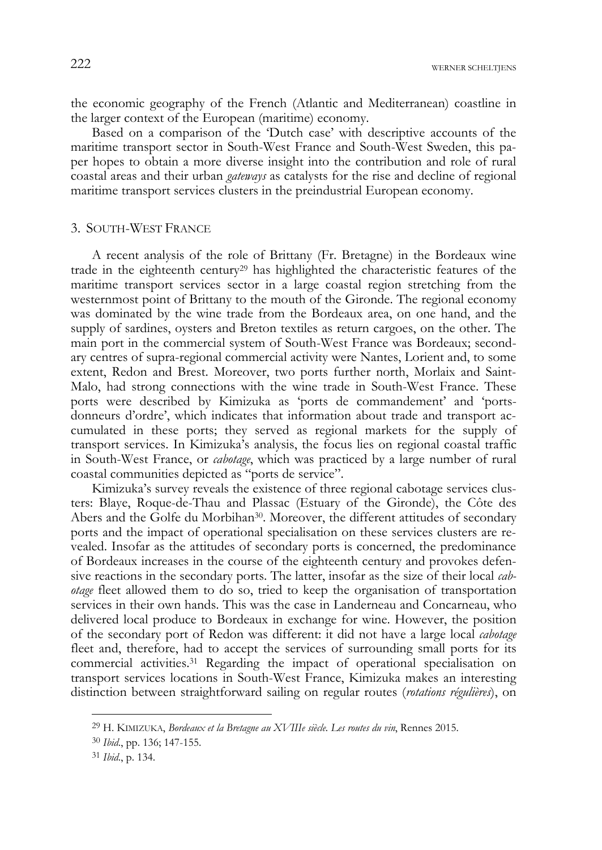the economic geography of the French (Atlantic and Mediterranean) coastline in the larger context of the European (maritime) economy.

Based on a comparison of the 'Dutch case' with descriptive accounts of the maritime transport sector in South-West France and South-West Sweden, this paper hopes to obtain a more diverse insight into the contribution and role of rural coastal areas and their urban *gateways* as catalysts for the rise and decline of regional maritime transport services clusters in the preindustrial European economy.

## 3. SOUTH-WEST FRANCE

A recent analysis of the role of Brittany (Fr. Bretagne) in the Bordeaux wine trade in the eighteenth century29 has highlighted the characteristic features of the maritime transport services sector in a large coastal region stretching from the westernmost point of Brittany to the mouth of the Gironde. The regional economy was dominated by the wine trade from the Bordeaux area, on one hand, and the supply of sardines, oysters and Breton textiles as return cargoes, on the other. The main port in the commercial system of South-West France was Bordeaux; secondary centres of supra-regional commercial activity were Nantes, Lorient and, to some extent, Redon and Brest. Moreover, two ports further north, Morlaix and Saint-Malo, had strong connections with the wine trade in South-West France. These ports were described by Kimizuka as 'ports de commandement' and 'portsdonneurs d'ordre', which indicates that information about trade and transport accumulated in these ports; they served as regional markets for the supply of transport services. In Kimizuka's analysis, the focus lies on regional coastal traffic in South-West France, or *cabotage*, which was practiced by a large number of rural coastal communities depicted as "ports de service".

Kimizuka's survey reveals the existence of three regional cabotage services clusters: Blaye, Roque-de-Thau and Plassac (Estuary of the Gironde), the Côte des Abers and the Golfe du Morbihan<sup>30</sup>. Moreover, the different attitudes of secondary ports and the impact of operational specialisation on these services clusters are revealed. Insofar as the attitudes of secondary ports is concerned, the predominance of Bordeaux increases in the course of the eighteenth century and provokes defensive reactions in the secondary ports. The latter, insofar as the size of their local *cabotage* fleet allowed them to do so, tried to keep the organisation of transportation services in their own hands. This was the case in Landerneau and Concarneau, who delivered local produce to Bordeaux in exchange for wine. However, the position of the secondary port of Redon was different: it did not have a large local *cabotage* fleet and, therefore, had to accept the services of surrounding small ports for its commercial activities.31 Regarding the impact of operational specialisation on transport services locations in South-West France, Kimizuka makes an interesting distinction between straightforward sailing on regular routes (*rotations régulières*), on

j

<sup>29</sup> H. KIMIZUKA, *Bordeaux et la Bretagne au XVIIIe siècle. Les routes du vin*, Rennes 2015.

<sup>30</sup> *Ibid*., pp. 136; 147-155.

<sup>31</sup> *Ibid*., p. 134.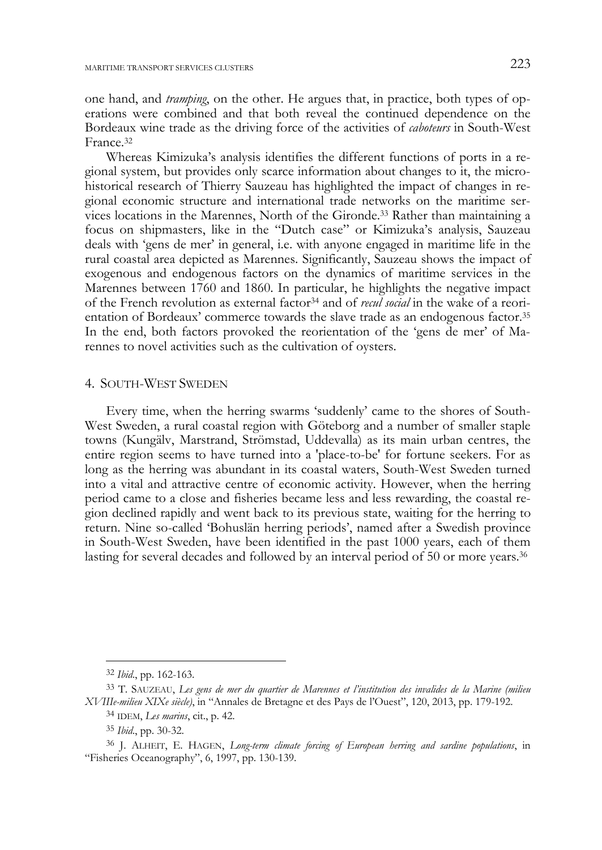one hand, and *tramping*, on the other. He argues that, in practice, both types of operations were combined and that both reveal the continued dependence on the Bordeaux wine trade as the driving force of the activities of *caboteurs* in South-West France.32

Whereas Kimizuka's analysis identifies the different functions of ports in a regional system, but provides only scarce information about changes to it, the microhistorical research of Thierry Sauzeau has highlighted the impact of changes in regional economic structure and international trade networks on the maritime services locations in the Marennes, North of the Gironde.33 Rather than maintaining a focus on shipmasters, like in the "Dutch case" or Kimizuka's analysis, Sauzeau deals with 'gens de mer' in general, i.e. with anyone engaged in maritime life in the rural coastal area depicted as Marennes. Significantly, Sauzeau shows the impact of exogenous and endogenous factors on the dynamics of maritime services in the Marennes between 1760 and 1860. In particular, he highlights the negative impact of the French revolution as external factor34 and of *recul social* in the wake of a reorientation of Bordeaux' commerce towards the slave trade as an endogenous factor.35 In the end, both factors provoked the reorientation of the 'gens de mer' of Marennes to novel activities such as the cultivation of oysters.

### 4. SOUTH-WEST SWEDEN

Every time, when the herring swarms 'suddenly' came to the shores of South-West Sweden, a rural coastal region with Göteborg and a number of smaller staple towns (Kungälv, Marstrand, Strömstad, Uddevalla) as its main urban centres, the entire region seems to have turned into a 'place-to-be' for fortune seekers. For as long as the herring was abundant in its coastal waters, South-West Sweden turned into a vital and attractive centre of economic activity. However, when the herring period came to a close and fisheries became less and less rewarding, the coastal region declined rapidly and went back to its previous state, waiting for the herring to return. Nine so-called 'Bohuslän herring periods', named after a Swedish province in South-West Sweden, have been identified in the past 1000 years, each of them lasting for several decades and followed by an interval period of 50 or more years.<sup>36</sup>

<sup>32</sup> *Ibid*., pp. 162-163.

<sup>33</sup> T. SAUZEAU, *Les gens de mer du quartier de Marennes et l'institution des invalides de la Marine (milieu XVIIIe-milieu XIXe siècle)*, in "Annales de Bretagne et des Pays de l'Ouest", 120, 2013, pp. 179-192.

<sup>34</sup> IDEM, *Les marins*, cit., p. 42.

<sup>35</sup> *Ibid*., pp. 30-32.

<sup>36</sup> J. ALHEIT, E. HAGEN, *Long-term climate forcing of European herring and sardine populations*, in "Fisheries Oceanography", 6, 1997, pp. 130-139.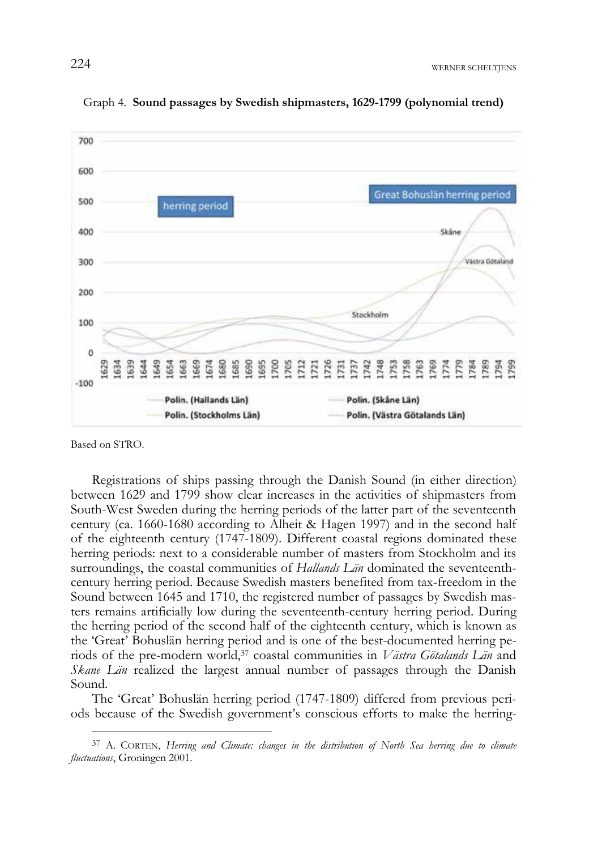

Graph 4. **Sound passages by Swedish shipmasters, 1629-1799 (polynomial trend)** 

Based on STRO.

-

Registrations of ships passing through the Danish Sound (in either direction) between 1629 and 1799 show clear increases in the activities of shipmasters from South-West Sweden during the herring periods of the latter part of the seventeenth century (ca. 1660-1680 according to Alheit & Hagen 1997) and in the second half of the eighteenth century (1747-1809). Different coastal regions dominated these herring periods: next to a considerable number of masters from Stockholm and its surroundings, the coastal communities of *Hallands Län* dominated the seventeenthcentury herring period. Because Swedish masters benefited from tax-freedom in the Sound between 1645 and 1710, the registered number of passages by Swedish masters remains artificially low during the seventeenth-century herring period. During the herring period of the second half of the eighteenth century, which is known as the 'Great' Bohuslän herring period and is one of the best-documented herring periods of the pre-modern world,37 coastal communities in *Västra Götalands Län* and *Skane Län* realized the largest annual number of passages through the Danish Sound.

The 'Great' Bohuslän herring period (1747-1809) differed from previous periods because of the Swedish government's conscious efforts to make the herring-

<sup>37</sup> A. CORTEN, *Herring and Climate: changes in the distribution of North Sea herring due to climate fluctuations*, Groningen 2001.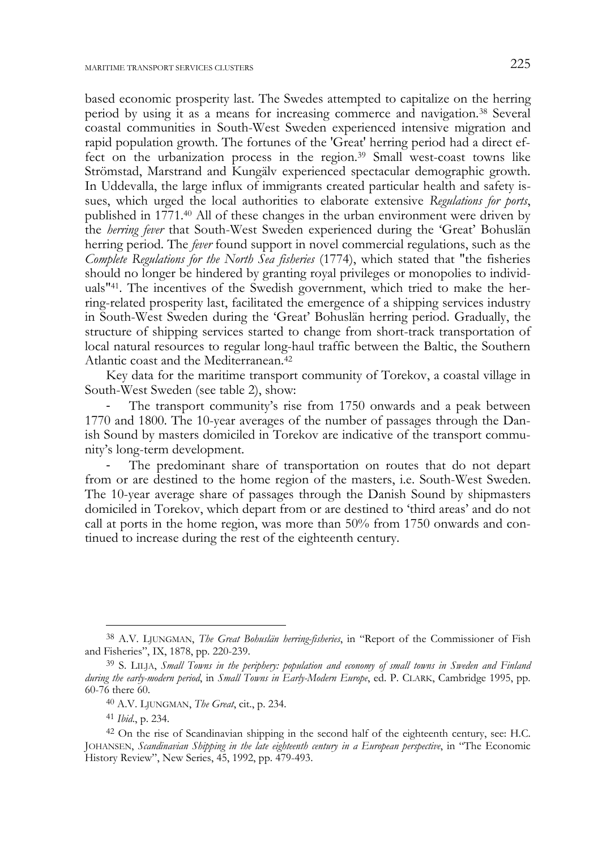based economic prosperity last. The Swedes attempted to capitalize on the herring period by using it as a means for increasing commerce and navigation.38 Several coastal communities in South-West Sweden experienced intensive migration and rapid population growth. The fortunes of the 'Great' herring period had a direct effect on the urbanization process in the region.39 Small west-coast towns like Strömstad, Marstrand and Kungälv experienced spectacular demographic growth. In Uddevalla, the large influx of immigrants created particular health and safety issues, which urged the local authorities to elaborate extensive *Regulations for ports*, published in 1771.40 All of these changes in the urban environment were driven by the *herring fever* that South-West Sweden experienced during the 'Great' Bohuslän herring period. The *fever* found support in novel commercial regulations, such as the *Complete Regulations for the North Sea fisheries* (1774), which stated that "the fisheries should no longer be hindered by granting royal privileges or monopolies to individuals"41. The incentives of the Swedish government, which tried to make the herring-related prosperity last, facilitated the emergence of a shipping services industry in South-West Sweden during the 'Great' Bohuslän herring period. Gradually, the structure of shipping services started to change from short-track transportation of local natural resources to regular long-haul traffic between the Baltic, the Southern Atlantic coast and the Mediterranean.42

Key data for the maritime transport community of Torekov, a coastal village in South-West Sweden (see table 2), show:

The transport community's rise from 1750 onwards and a peak between 1770 and 1800. The 10-year averages of the number of passages through the Danish Sound by masters domiciled in Torekov are indicative of the transport community's long-term development.

The predominant share of transportation on routes that do not depart from or are destined to the home region of the masters, i.e. South-West Sweden. The 10-year average share of passages through the Danish Sound by shipmasters domiciled in Torekov, which depart from or are destined to 'third areas' and do not call at ports in the home region, was more than 50% from 1750 onwards and continued to increase during the rest of the eighteenth century.

j

<sup>38</sup> A.V. LJUNGMAN, *The Great Bohuslän herring-fisheries*, in "Report of the Commissioner of Fish and Fisheries", IX, 1878, pp. 220-239.

<sup>39</sup> S. LILJA, *Small Towns in the periphery: population and economy of small towns in Sweden and Finland during the early-modern period*, in *Small Towns in Early-Modern Europe*, ed. P. CLARK, Cambridge 1995, pp. 60-76 there 60.

<sup>40</sup> A.V. LJUNGMAN, *The Great*, cit., p. 234.

<sup>41</sup> *Ibid*., p. 234.

<sup>42</sup> On the rise of Scandinavian shipping in the second half of the eighteenth century, see: H.C. JOHANSEN, *Scandinavian Shipping in the late eighteenth century in a European perspective*, in "The Economic History Review", New Series, 45, 1992, pp. 479-493.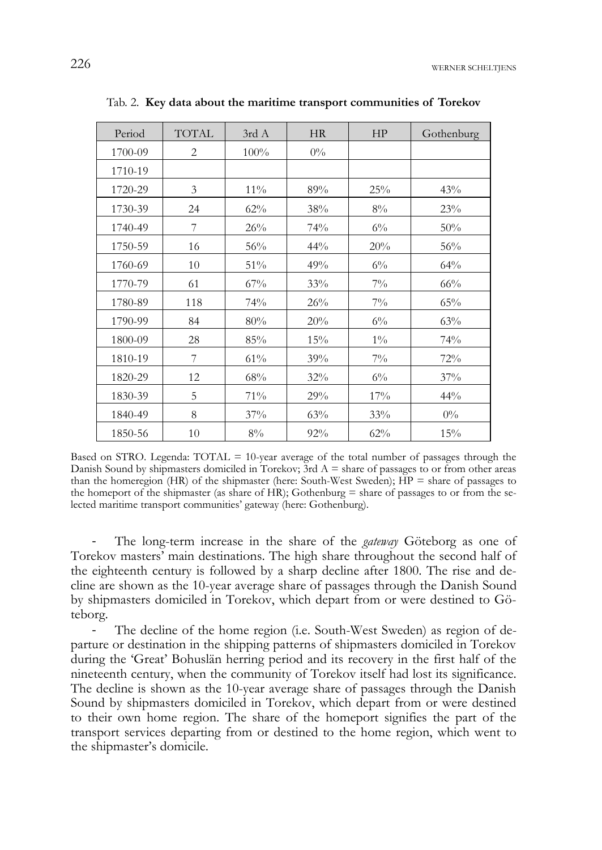| Period  | <b>TOTAL</b>   | 3rd A  | HR    | HP    | Gothenburg |
|---------|----------------|--------|-------|-------|------------|
| 1700-09 | $\overline{2}$ | 100%   | $0\%$ |       |            |
| 1710-19 |                |        |       |       |            |
| 1720-29 | 3              | $11\%$ | 89%   | 25%   | 43%        |
| 1730-39 | 24             | 62%    | 38%   | 8%    | 23%        |
| 1740-49 | 7              | 26%    | 74%   | $6\%$ | 50%        |
| 1750-59 | 16             | 56%    | 44%   | 20%   | 56%        |
| 1760-69 | 10             | 51%    | 49%   | $6\%$ | 64%        |
| 1770-79 | 61             | 67%    | 33%   | $7\%$ | 66%        |
| 1780-89 | 118            | 74%    | 26%   | $7\%$ | 65%        |
| 1790-99 | 84             | 80%    | 20%   | $6\%$ | 63%        |
| 1800-09 | 28             | 85%    | 15%   | $1\%$ | 74%        |
| 1810-19 | 7              | 61%    | 39%   | $7\%$ | 72%        |
| 1820-29 | 12             | 68%    | 32%   | $6\%$ | 37%        |
| 1830-39 | 5              | 71%    | 29%   | 17%   | 44%        |
| 1840-49 | 8              | 37%    | 63%   | 33%   | $0\%$      |
| 1850-56 | 10             | 8%     | 92%   | 62%   | 15%        |

Tab. 2. **Key data about the maritime transport communities of Torekov** 

Based on STRO. Legenda: TOTAL = 10-year average of the total number of passages through the Danish Sound by shipmasters domiciled in Torekov;  $3rd A =$  share of passages to or from other areas than the homeregion (HR) of the shipmaster (here: South-West Sweden);  $HP =$  share of passages to the homeport of the shipmaster (as share of HR); Gothenburg  $=$  share of passages to or from the selected maritime transport communities' gateway (here: Gothenburg).

‐ The long-term increase in the share of the *gateway* Göteborg as one of Torekov masters' main destinations. The high share throughout the second half of the eighteenth century is followed by a sharp decline after 1800. The rise and decline are shown as the 10-year average share of passages through the Danish Sound by shipmasters domiciled in Torekov, which depart from or were destined to Göteborg.

The decline of the home region (i.e. South-West Sweden) as region of departure or destination in the shipping patterns of shipmasters domiciled in Torekov during the 'Great' Bohuslän herring period and its recovery in the first half of the nineteenth century, when the community of Torekov itself had lost its significance. The decline is shown as the 10-year average share of passages through the Danish Sound by shipmasters domiciled in Torekov, which depart from or were destined to their own home region. The share of the homeport signifies the part of the transport services departing from or destined to the home region, which went to the shipmaster's domicile.